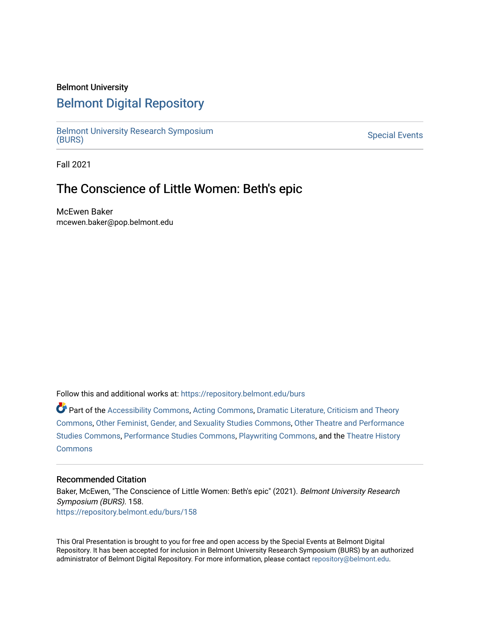### Belmont University

# [Belmont Digital Repository](https://repository.belmont.edu/)

[Belmont University Research Symposium](https://repository.belmont.edu/burs) belliont only erstated by optimization of the special Events [\(BURS\)](https://repository.belmont.edu/burs) Special Events

Fall 2021

# The Conscience of Little Women: Beth's epic

McEwen Baker mcewen.baker@pop.belmont.edu

Follow this and additional works at: [https://repository.belmont.edu/burs](https://repository.belmont.edu/burs?utm_source=repository.belmont.edu%2Fburs%2F158&utm_medium=PDF&utm_campaign=PDFCoverPages)

Part of the [Accessibility Commons,](http://network.bepress.com/hgg/discipline/1318?utm_source=repository.belmont.edu%2Fburs%2F158&utm_medium=PDF&utm_campaign=PDFCoverPages) [Acting Commons](http://network.bepress.com/hgg/discipline/1145?utm_source=repository.belmont.edu%2Fburs%2F158&utm_medium=PDF&utm_campaign=PDFCoverPages), [Dramatic Literature, Criticism and Theory](http://network.bepress.com/hgg/discipline/555?utm_source=repository.belmont.edu%2Fburs%2F158&utm_medium=PDF&utm_campaign=PDFCoverPages) [Commons](http://network.bepress.com/hgg/discipline/555?utm_source=repository.belmont.edu%2Fburs%2F158&utm_medium=PDF&utm_campaign=PDFCoverPages), [Other Feminist, Gender, and Sexuality Studies Commons](http://network.bepress.com/hgg/discipline/562?utm_source=repository.belmont.edu%2Fburs%2F158&utm_medium=PDF&utm_campaign=PDFCoverPages), [Other Theatre and Performance](http://network.bepress.com/hgg/discipline/558?utm_source=repository.belmont.edu%2Fburs%2F158&utm_medium=PDF&utm_campaign=PDFCoverPages)  [Studies Commons,](http://network.bepress.com/hgg/discipline/558?utm_source=repository.belmont.edu%2Fburs%2F158&utm_medium=PDF&utm_campaign=PDFCoverPages) [Performance Studies Commons](http://network.bepress.com/hgg/discipline/556?utm_source=repository.belmont.edu%2Fburs%2F158&utm_medium=PDF&utm_campaign=PDFCoverPages), [Playwriting Commons](http://network.bepress.com/hgg/discipline/557?utm_source=repository.belmont.edu%2Fburs%2F158&utm_medium=PDF&utm_campaign=PDFCoverPages), and the [Theatre History](http://network.bepress.com/hgg/discipline/553?utm_source=repository.belmont.edu%2Fburs%2F158&utm_medium=PDF&utm_campaign=PDFCoverPages)  **[Commons](http://network.bepress.com/hgg/discipline/553?utm_source=repository.belmont.edu%2Fburs%2F158&utm_medium=PDF&utm_campaign=PDFCoverPages)** 

## Recommended Citation

Baker, McEwen, "The Conscience of Little Women: Beth's epic" (2021). Belmont University Research Symposium (BURS). 158. [https://repository.belmont.edu/burs/158](https://repository.belmont.edu/burs/158?utm_source=repository.belmont.edu%2Fburs%2F158&utm_medium=PDF&utm_campaign=PDFCoverPages)

This Oral Presentation is brought to you for free and open access by the Special Events at Belmont Digital Repository. It has been accepted for inclusion in Belmont University Research Symposium (BURS) by an authorized administrator of Belmont Digital Repository. For more information, please contact [repository@belmont.edu](mailto:repository@belmont.edu).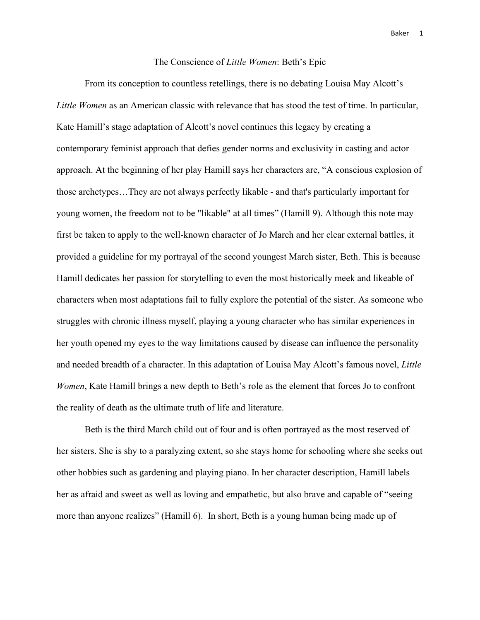### The Conscience of *Little Women*: Beth's Epic

From its conception to countless retellings, there is no debating Louisa May Alcott's *Little Women* as an American classic with relevance that has stood the test of time. In particular, Kate Hamill's stage adaptation of Alcott's novel continues this legacy by creating a contemporary feminist approach that defies gender norms and exclusivity in casting and actor approach. At the beginning of her play Hamill says her characters are, "A conscious explosion of those archetypes…They are not always perfectly likable - and that's particularly important for young women, the freedom not to be "likable" at all times" (Hamill 9). Although this note may first be taken to apply to the well-known character of Jo March and her clear external battles, it provided a guideline for my portrayal of the second youngest March sister, Beth. This is because Hamill dedicates her passion for storytelling to even the most historically meek and likeable of characters when most adaptations fail to fully explore the potential of the sister. As someone who struggles with chronic illness myself, playing a young character who has similar experiences in her youth opened my eyes to the way limitations caused by disease can influence the personality and needed breadth of a character. In this adaptation of Louisa May Alcott's famous novel, *Little Women*, Kate Hamill brings a new depth to Beth's role as the element that forces Jo to confront the reality of death as the ultimate truth of life and literature.

Beth is the third March child out of four and is often portrayed as the most reserved of her sisters. She is shy to a paralyzing extent, so she stays home for schooling where she seeks out other hobbies such as gardening and playing piano. In her character description, Hamill labels her as afraid and sweet as well as loving and empathetic, but also brave and capable of "seeing more than anyone realizes" (Hamill 6). In short, Beth is a young human being made up of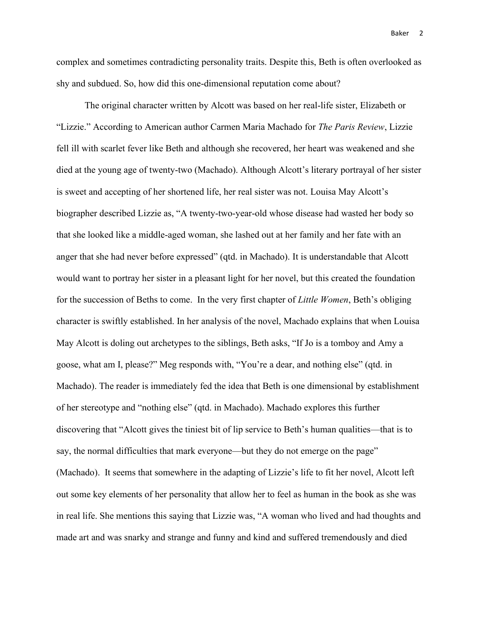complex and sometimes contradicting personality traits. Despite this, Beth is often overlooked as shy and subdued. So, how did this one-dimensional reputation come about?

The original character written by Alcott was based on her real-life sister, Elizabeth or "Lizzie." According to American author Carmen Maria Machado for *The Paris Review*, Lizzie fell ill with scarlet fever like Beth and although she recovered, her heart was weakened and she died at the young age of twenty-two (Machado). Although Alcott's literary portrayal of her sister is sweet and accepting of her shortened life, her real sister was not. Louisa May Alcott's biographer described Lizzie as, "A twenty-two-year-old whose disease had wasted her body so that she looked like a middle-aged woman, she lashed out at her family and her fate with an anger that she had never before expressed" (qtd. in Machado). It is understandable that Alcott would want to portray her sister in a pleasant light for her novel, but this created the foundation for the succession of Beths to come. In the very first chapter of *Little Women*, Beth's obliging character is swiftly established. In her analysis of the novel, Machado explains that when Louisa May Alcott is doling out archetypes to the siblings, Beth asks, "If Jo is a tomboy and Amy a goose, what am I, please?" Meg responds with, "You're a dear, and nothing else" (qtd. in Machado). The reader is immediately fed the idea that Beth is one dimensional by establishment of her stereotype and "nothing else" (qtd. in Machado). Machado explores this further discovering that "Alcott gives the tiniest bit of lip service to Beth's human qualities—that is to say, the normal difficulties that mark everyone—but they do not emerge on the page" (Machado). It seems that somewhere in the adapting of Lizzie's life to fit her novel, Alcott left out some key elements of her personality that allow her to feel as human in the book as she was in real life. She mentions this saying that Lizzie was, "A woman who lived and had thoughts and made art and was snarky and strange and funny and kind and suffered tremendously and died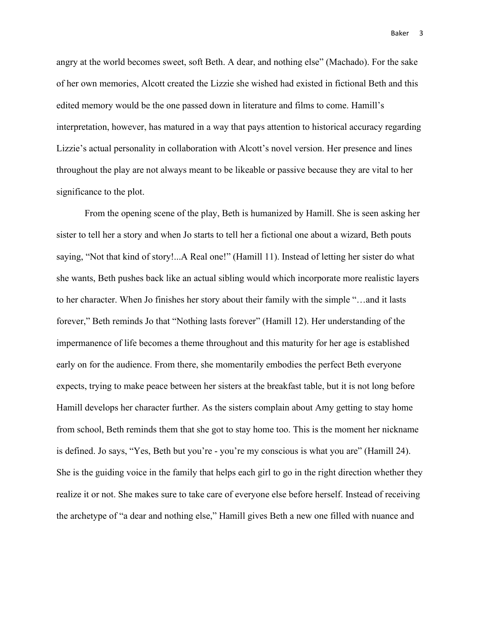angry at the world becomes sweet, soft Beth. A dear, and nothing else" (Machado). For the sake of her own memories, Alcott created the Lizzie she wished had existed in fictional Beth and this edited memory would be the one passed down in literature and films to come. Hamill's interpretation, however, has matured in a way that pays attention to historical accuracy regarding Lizzie's actual personality in collaboration with Alcott's novel version. Her presence and lines throughout the play are not always meant to be likeable or passive because they are vital to her significance to the plot.

From the opening scene of the play, Beth is humanized by Hamill. She is seen asking her sister to tell her a story and when Jo starts to tell her a fictional one about a wizard, Beth pouts saying, "Not that kind of story!...A Real one!" (Hamill 11). Instead of letting her sister do what she wants, Beth pushes back like an actual sibling would which incorporate more realistic layers to her character. When Jo finishes her story about their family with the simple "…and it lasts forever," Beth reminds Jo that "Nothing lasts forever" (Hamill 12). Her understanding of the impermanence of life becomes a theme throughout and this maturity for her age is established early on for the audience. From there, she momentarily embodies the perfect Beth everyone expects, trying to make peace between her sisters at the breakfast table, but it is not long before Hamill develops her character further. As the sisters complain about Amy getting to stay home from school, Beth reminds them that she got to stay home too. This is the moment her nickname is defined. Jo says, "Yes, Beth but you're - you're my conscious is what you are" (Hamill 24). She is the guiding voice in the family that helps each girl to go in the right direction whether they realize it or not. She makes sure to take care of everyone else before herself. Instead of receiving the archetype of "a dear and nothing else," Hamill gives Beth a new one filled with nuance and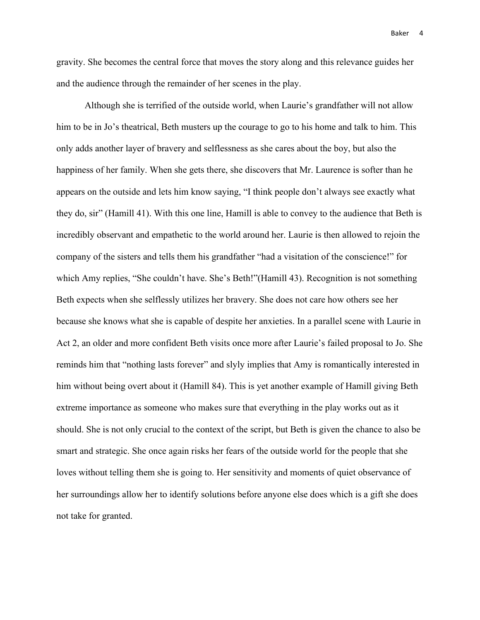gravity. She becomes the central force that moves the story along and this relevance guides her and the audience through the remainder of her scenes in the play.

Although she is terrified of the outside world, when Laurie's grandfather will not allow him to be in Jo's theatrical, Beth musters up the courage to go to his home and talk to him. This only adds another layer of bravery and selflessness as she cares about the boy, but also the happiness of her family. When she gets there, she discovers that Mr. Laurence is softer than he appears on the outside and lets him know saying, "I think people don't always see exactly what they do, sir" (Hamill 41). With this one line, Hamill is able to convey to the audience that Beth is incredibly observant and empathetic to the world around her. Laurie is then allowed to rejoin the company of the sisters and tells them his grandfather "had a visitation of the conscience!" for which Amy replies, "She couldn't have. She's Beth!"(Hamill 43). Recognition is not something Beth expects when she selflessly utilizes her bravery. She does not care how others see her because she knows what she is capable of despite her anxieties. In a parallel scene with Laurie in Act 2, an older and more confident Beth visits once more after Laurie's failed proposal to Jo. She reminds him that "nothing lasts forever" and slyly implies that Amy is romantically interested in him without being overt about it (Hamill 84). This is yet another example of Hamill giving Beth extreme importance as someone who makes sure that everything in the play works out as it should. She is not only crucial to the context of the script, but Beth is given the chance to also be smart and strategic. She once again risks her fears of the outside world for the people that she loves without telling them she is going to. Her sensitivity and moments of quiet observance of her surroundings allow her to identify solutions before anyone else does which is a gift she does not take for granted.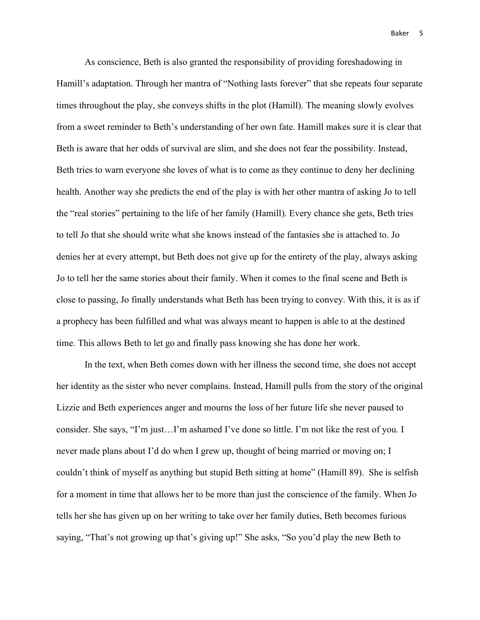As conscience, Beth is also granted the responsibility of providing foreshadowing in Hamill's adaptation. Through her mantra of "Nothing lasts forever" that she repeats four separate times throughout the play, she conveys shifts in the plot (Hamill). The meaning slowly evolves from a sweet reminder to Beth's understanding of her own fate. Hamill makes sure it is clear that Beth is aware that her odds of survival are slim, and she does not fear the possibility. Instead, Beth tries to warn everyone she loves of what is to come as they continue to deny her declining health. Another way she predicts the end of the play is with her other mantra of asking Jo to tell the "real stories" pertaining to the life of her family (Hamill). Every chance she gets, Beth tries to tell Jo that she should write what she knows instead of the fantasies she is attached to. Jo denies her at every attempt, but Beth does not give up for the entirety of the play, always asking Jo to tell her the same stories about their family. When it comes to the final scene and Beth is close to passing, Jo finally understands what Beth has been trying to convey. With this, it is as if a prophecy has been fulfilled and what was always meant to happen is able to at the destined time. This allows Beth to let go and finally pass knowing she has done her work.

In the text, when Beth comes down with her illness the second time, she does not accept her identity as the sister who never complains. Instead, Hamill pulls from the story of the original Lizzie and Beth experiences anger and mourns the loss of her future life she never paused to consider. She says, "I'm just…I'm ashamed I've done so little. I'm not like the rest of you. I never made plans about I'd do when I grew up, thought of being married or moving on; I couldn't think of myself as anything but stupid Beth sitting at home" (Hamill 89). She is selfish for a moment in time that allows her to be more than just the conscience of the family. When Jo tells her she has given up on her writing to take over her family duties, Beth becomes furious saying, "That's not growing up that's giving up!" She asks, "So you'd play the new Beth to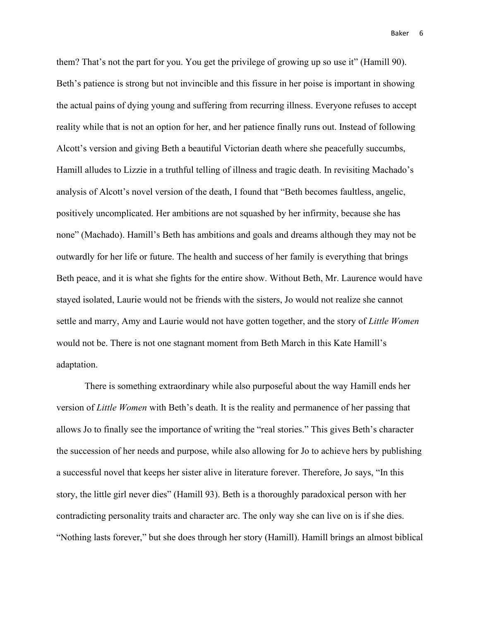them? That's not the part for you. You get the privilege of growing up so use it" (Hamill 90). Beth's patience is strong but not invincible and this fissure in her poise is important in showing the actual pains of dying young and suffering from recurring illness. Everyone refuses to accept reality while that is not an option for her, and her patience finally runs out. Instead of following Alcott's version and giving Beth a beautiful Victorian death where she peacefully succumbs, Hamill alludes to Lizzie in a truthful telling of illness and tragic death. In revisiting Machado's analysis of Alcott's novel version of the death, I found that "Beth becomes faultless, angelic, positively uncomplicated. Her ambitions are not squashed by her infirmity, because she has none" (Machado). Hamill's Beth has ambitions and goals and dreams although they may not be outwardly for her life or future. The health and success of her family is everything that brings Beth peace, and it is what she fights for the entire show. Without Beth, Mr. Laurence would have stayed isolated, Laurie would not be friends with the sisters, Jo would not realize she cannot settle and marry, Amy and Laurie would not have gotten together, and the story of *Little Women* would not be. There is not one stagnant moment from Beth March in this Kate Hamill's adaptation.

There is something extraordinary while also purposeful about the way Hamill ends her version of *Little Women* with Beth's death. It is the reality and permanence of her passing that allows Jo to finally see the importance of writing the "real stories." This gives Beth's character the succession of her needs and purpose, while also allowing for Jo to achieve hers by publishing a successful novel that keeps her sister alive in literature forever. Therefore, Jo says, "In this story, the little girl never dies" (Hamill 93). Beth is a thoroughly paradoxical person with her contradicting personality traits and character arc. The only way she can live on is if she dies. "Nothing lasts forever," but she does through her story (Hamill). Hamill brings an almost biblical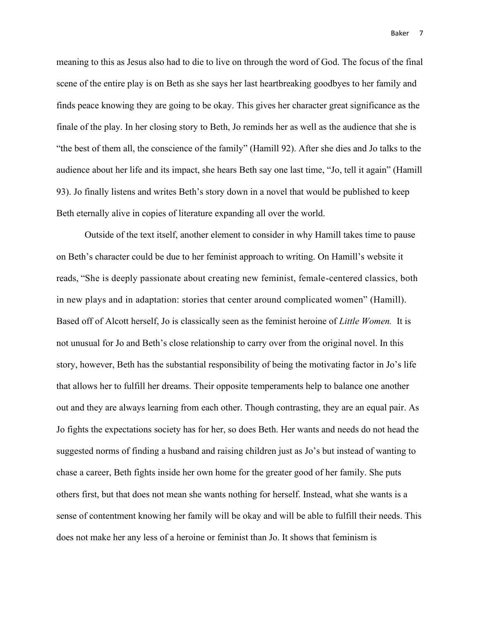meaning to this as Jesus also had to die to live on through the word of God. The focus of the final scene of the entire play is on Beth as she says her last heartbreaking goodbyes to her family and finds peace knowing they are going to be okay. This gives her character great significance as the finale of the play. In her closing story to Beth, Jo reminds her as well as the audience that she is "the best of them all, the conscience of the family" (Hamill 92). After she dies and Jo talks to the audience about her life and its impact, she hears Beth say one last time, "Jo, tell it again" (Hamill 93). Jo finally listens and writes Beth's story down in a novel that would be published to keep Beth eternally alive in copies of literature expanding all over the world.

Outside of the text itself, another element to consider in why Hamill takes time to pause on Beth's character could be due to her feminist approach to writing. On Hamill's website it reads, "She is deeply passionate about creating new feminist, female-centered classics, both in new plays and in adaptation: stories that center around complicated women" (Hamill). Based off of Alcott herself, Jo is classically seen as the feminist heroine of *Little Women.* It is not unusual for Jo and Beth's close relationship to carry over from the original novel. In this story, however, Beth has the substantial responsibility of being the motivating factor in Jo's life that allows her to fulfill her dreams. Their opposite temperaments help to balance one another out and they are always learning from each other. Though contrasting, they are an equal pair. As Jo fights the expectations society has for her, so does Beth. Her wants and needs do not head the suggested norms of finding a husband and raising children just as Jo's but instead of wanting to chase a career, Beth fights inside her own home for the greater good of her family. She puts others first, but that does not mean she wants nothing for herself. Instead, what she wants is a sense of contentment knowing her family will be okay and will be able to fulfill their needs. This does not make her any less of a heroine or feminist than Jo. It shows that feminism is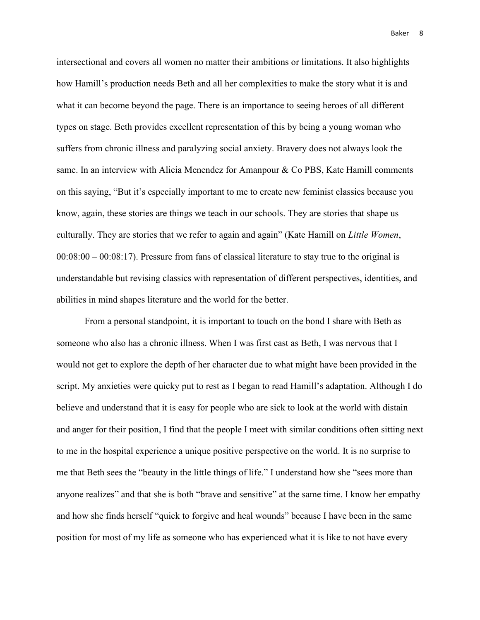intersectional and covers all women no matter their ambitions or limitations. It also highlights how Hamill's production needs Beth and all her complexities to make the story what it is and what it can become beyond the page. There is an importance to seeing heroes of all different types on stage. Beth provides excellent representation of this by being a young woman who suffers from chronic illness and paralyzing social anxiety. Bravery does not always look the same. In an interview with Alicia Menendez for Amanpour & Co PBS, Kate Hamill comments on this saying, "But it's especially important to me to create new feminist classics because you know, again, these stories are things we teach in our schools. They are stories that shape us culturally. They are stories that we refer to again and again" (Kate Hamill on *Little Women*, 00:08:00 – 00:08:17). Pressure from fans of classical literature to stay true to the original is understandable but revising classics with representation of different perspectives, identities, and abilities in mind shapes literature and the world for the better.

From a personal standpoint, it is important to touch on the bond I share with Beth as someone who also has a chronic illness. When I was first cast as Beth, I was nervous that I would not get to explore the depth of her character due to what might have been provided in the script. My anxieties were quicky put to rest as I began to read Hamill's adaptation. Although I do believe and understand that it is easy for people who are sick to look at the world with distain and anger for their position, I find that the people I meet with similar conditions often sitting next to me in the hospital experience a unique positive perspective on the world. It is no surprise to me that Beth sees the "beauty in the little things of life." I understand how she "sees more than anyone realizes" and that she is both "brave and sensitive" at the same time. I know her empathy and how she finds herself "quick to forgive and heal wounds" because I have been in the same position for most of my life as someone who has experienced what it is like to not have every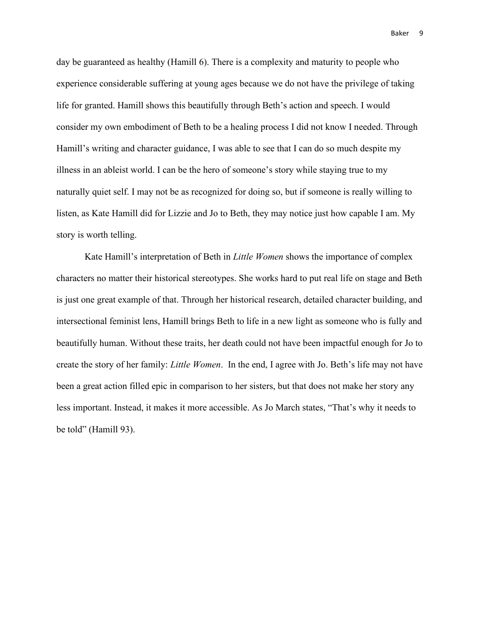day be guaranteed as healthy (Hamill 6). There is a complexity and maturity to people who experience considerable suffering at young ages because we do not have the privilege of taking life for granted. Hamill shows this beautifully through Beth's action and speech. I would consider my own embodiment of Beth to be a healing process I did not know I needed. Through Hamill's writing and character guidance, I was able to see that I can do so much despite my illness in an ableist world. I can be the hero of someone's story while staying true to my naturally quiet self. I may not be as recognized for doing so, but if someone is really willing to listen, as Kate Hamill did for Lizzie and Jo to Beth, they may notice just how capable I am. My story is worth telling.

Kate Hamill's interpretation of Beth in *Little Women* shows the importance of complex characters no matter their historical stereotypes. She works hard to put real life on stage and Beth is just one great example of that. Through her historical research, detailed character building, and intersectional feminist lens, Hamill brings Beth to life in a new light as someone who is fully and beautifully human. Without these traits, her death could not have been impactful enough for Jo to create the story of her family: *Little Women*. In the end, I agree with Jo. Beth's life may not have been a great action filled epic in comparison to her sisters, but that does not make her story any less important. Instead, it makes it more accessible. As Jo March states, "That's why it needs to be told" (Hamill 93).

Baker 9